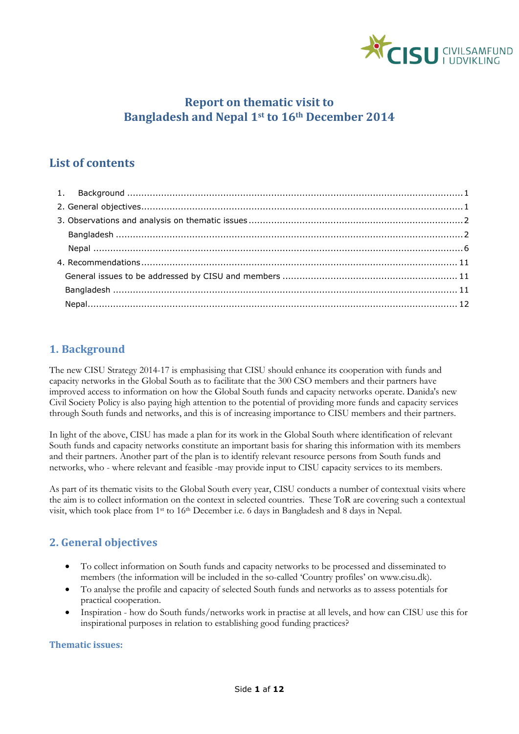

# **Report on thematic visit to Bangladesh and Nepal 1st to 16th December 2014**

# **List of contents**

# <span id="page-0-0"></span>**1. Background**

The new CISU Strategy 2014-17 is emphasising that CISU should enhance its cooperation with funds and capacity networks in the Global South as to facilitate that the 300 CSO members and their partners have improved access to information on how the Global South funds and capacity networks operate. Danida's new Civil Society Policy is also paying high attention to the potential of providing more funds and capacity services through South funds and networks, and this is of increasing importance to CISU members and their partners.

In light of the above, CISU has made a plan for its work in the Global South where identification of relevant South funds and capacity networks constitute an important basis for sharing this information with its members and their partners. Another part of the plan is to identify relevant resource persons from South funds and networks, who - where relevant and feasible -may provide input to CISU capacity services to its members.

As part of its thematic visits to the Global South every year, CISU conducts a number of contextual visits where the aim is to collect information on the context in selected countries. These ToR are covering such a contextual visit, which took place from 1st to 16th December i.e. 6 days in Bangladesh and 8 days in Nepal.

# <span id="page-0-1"></span>**2. General objectives**

- To collect information on South funds and capacity networks to be processed and disseminated to members (the information will be included in the so-called 'Country profiles' on www.cisu.dk).
- To analyse the profile and capacity of selected South funds and networks as to assess potentials for practical cooperation.
- Inspiration how do South funds/networks work in practise at all levels, and how can CISU use this for inspirational purposes in relation to establishing good funding practices?

# **Thematic issues:**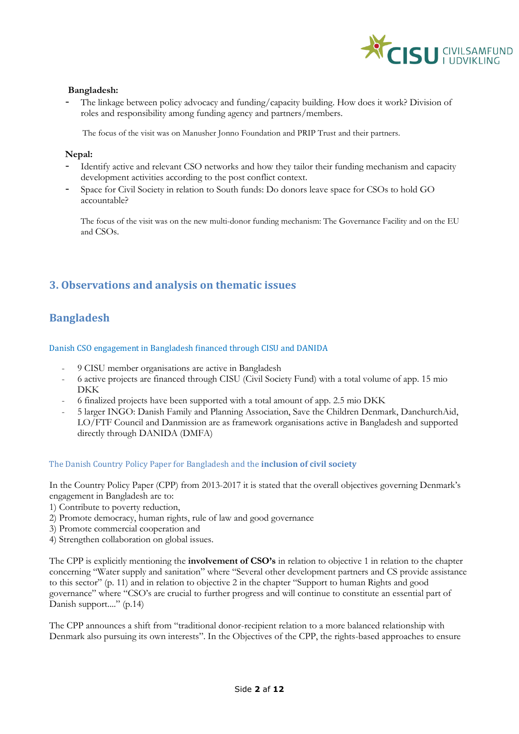

### **Bangladesh:**

The linkage between policy advocacy and funding/capacity building. How does it work? Division of roles and responsibility among funding agency and partners/members.

The focus of the visit was on Manusher Jonno Foundation and PRIP Trust and their partners.

### **Nepal:**

- Identify active and relevant CSO networks and how they tailor their funding mechanism and capacity development activities according to the post conflict context.
- Space for Civil Society in relation to South funds: Do donors leave space for CSOs to hold GO accountable?

The focus of the visit was on the new multi-donor funding mechanism: The Governance Facility and on the EU and CSOs.

# <span id="page-1-0"></span>**3. Observations and analysis on thematic issues**

# <span id="page-1-1"></span>**Bangladesh**

Danish CSO engagement in Bangladesh financed through CISU and DANIDA

- 9 CISU member organisations are active in Bangladesh
- 6 active projects are financed through CISU (Civil Society Fund) with a total volume of app. 15 mio DKK
- 6 finalized projects have been supported with a total amount of app. 2.5 mio DKK
- 5 larger INGO: Danish Family and Planning Association, Save the Children Denmark, DanchurchAid, LO/FTF Council and Danmission are as framework organisations active in Bangladesh and supported directly through DANIDA (DMFA)

#### The Danish Country Policy Paper for Bangladesh and the **inclusion of civil society**

In the Country Policy Paper (CPP) from 2013-2017 it is stated that the overall objectives governing Denmark's engagement in Bangladesh are to:

- 1) Contribute to poverty reduction,
- 2) Promote democracy, human rights, rule of law and good governance
- 3) Promote commercial cooperation and
- 4) Strengthen collaboration on global issues.

The CPP is explicitly mentioning the **involvement of CSO's** in relation to objective 1 in relation to the chapter concerning "Water supply and sanitation" where "Several other development partners and CS provide assistance to this sector" (p. 11) and in relation to objective 2 in the chapter "Support to human Rights and good governance" where "CSO's are crucial to further progress and will continue to constitute an essential part of Danish support...." (p.14)

The CPP announces a shift from "traditional donor-recipient relation to a more balanced relationship with Denmark also pursuing its own interests". In the Objectives of the CPP, the rights-based approaches to ensure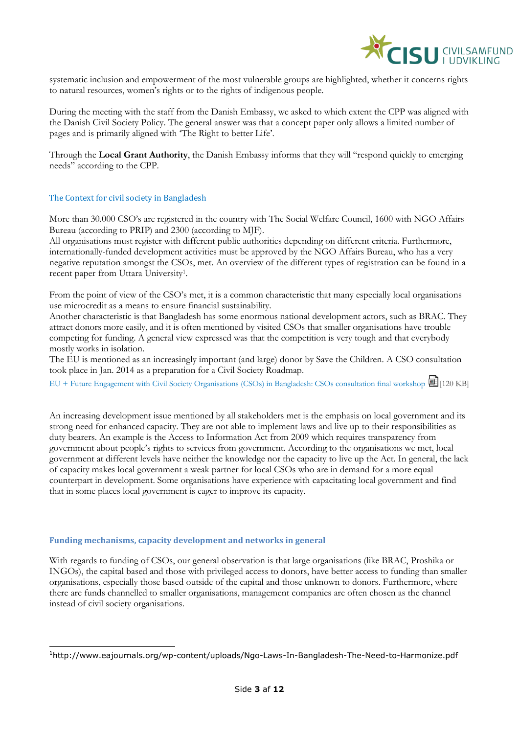

systematic inclusion and empowerment of the most vulnerable groups are highlighted, whether it concerns rights to natural resources, women's rights or to the rights of indigenous people.

During the meeting with the staff from the Danish Embassy, we asked to which extent the CPP was aligned with the Danish Civil Society Policy. The general answer was that a concept paper only allows a limited number of pages and is primarily aligned with 'The Right to better Life'.

Through the **Local Grant Authority**, the Danish Embassy informs that they will "respond quickly to emerging needs" according to the CPP.

## The Context for civil society in Bangladesh

More than 30.000 CSO's are registered in the country with The Social Welfare Council, 1600 with NGO Affairs Bureau (according to PRIP) and 2300 (according to MJF).

All organisations must register with different public authorities depending on different criteria. Furthermore, internationally-funded development activities must be approved by the NGO Affairs Bureau, who has a very negative reputation amongst the CSOs, met. An overview of the different types of registration can be found in a recent paper from Uttara University<sup>1</sup>.

From the point of view of the CSO's met, it is a common characteristic that many especially local organisations use microcredit as a means to ensure financial sustainability.

Another characteristic is that Bangladesh has some enormous national development actors, such as BRAC. They attract donors more easily, and it is often mentioned by visited CSOs that smaller organisations have trouble competing for funding. A general view expressed was that the competition is very tough and that everybody mostly works in isolation.

The EU is mentioned as an increasingly important (and large) donor by Save the Children. A CSO consultation took place in Jan. 2014 as a preparation for a Civil Society Roadmap.

[EU + Future Engagement with Civil Society Organisations \(CSOs\) in Bangladesh: CSOs consultation final workshop](http://eeas.europa.eu/delegations/bangladesh/documents/press_corner/all_news/news/2014/cso_presentation.pptx) [120 KB]

An increasing development issue mentioned by all stakeholders met is the emphasis on local government and its strong need for enhanced capacity. They are not able to implement laws and live up to their responsibilities as duty bearers. An example is the Access to Information Act from 2009 which requires transparency from government about people's rights to services from government. According to the organisations we met, local government at different levels have neither the knowledge nor the capacity to live up the Act. In general, the lack of capacity makes local government a weak partner for local CSOs who are in demand for a more equal counterpart in development. Some organisations have experience with capacitating local government and find that in some places local government is eager to improve its capacity.

#### **Funding mechanisms, capacity development and networks in general**

-

With regards to funding of CSOs, our general observation is that large organisations (like BRAC, Proshika or INGOs), the capital based and those with privileged access to donors, have better access to funding than smaller organisations, especially those based outside of the capital and those unknown to donors. Furthermore, where there are funds channelled to smaller organisations, management companies are often chosen as the channel instead of civil society organisations.

<sup>1</sup>http://www.eajournals.org/wp-content/uploads/Ngo-Laws-In-Bangladesh-The-Need-to-Harmonize.pdf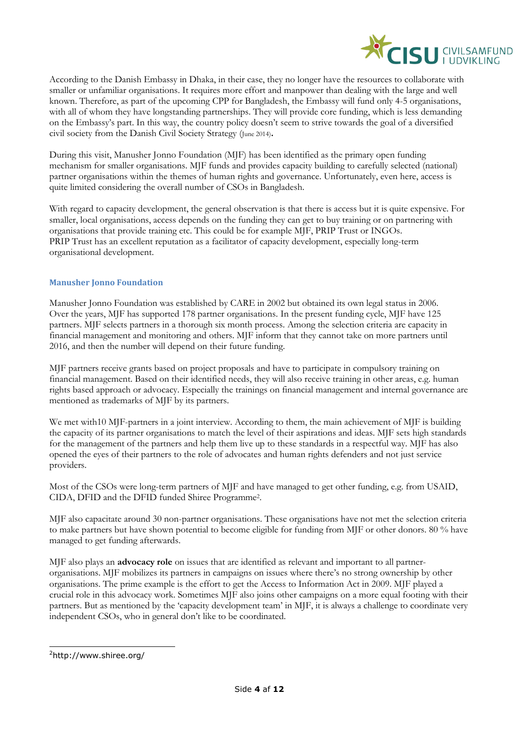

According to the Danish Embassy in Dhaka, in their case, they no longer have the resources to collaborate with smaller or unfamiliar organisations. It requires more effort and manpower than dealing with the large and well known. Therefore, as part of the upcoming CPP for Bangladesh, the Embassy will fund only 4-5 organisations, with all of whom they have longstanding partnerships. They will provide core funding, which is less demanding on the Embassy's part. In this way, the country policy doesn't seem to strive towards the goal of a diversified civil society from the Danish Civil Society Strategy (June 2014)**.**

During this visit, Manusher Jonno Foundation (MJF) has been identified as the primary open funding mechanism for smaller organisations. MJF funds and provides capacity building to carefully selected (national) partner organisations within the themes of human rights and governance. Unfortunately, even here, access is quite limited considering the overall number of CSOs in Bangladesh.

With regard to capacity development, the general observation is that there is access but it is quite expensive. For smaller, local organisations, access depends on the funding they can get to buy training or on partnering with organisations that provide training etc. This could be for example MJF, PRIP Trust or INGOs. PRIP Trust has an excellent reputation as a facilitator of capacity development, especially long-term organisational development.

## **Manusher Jonno Foundation**

Manusher Jonno Foundation was established by CARE in 2002 but obtained its own legal status in 2006. Over the years, MJF has supported 178 partner organisations. In the present funding cycle, MJF have 125 partners. MJF selects partners in a thorough six month process. Among the selection criteria are capacity in financial management and monitoring and others. MJF inform that they cannot take on more partners until 2016, and then the number will depend on their future funding.

MJF partners receive grants based on project proposals and have to participate in compulsory training on financial management. Based on their identified needs, they will also receive training in other areas, e.g. human rights based approach or advocacy. Especially the trainings on financial management and internal governance are mentioned as trademarks of MJF by its partners.

We met with10 MJF-partners in a joint interview. According to them, the main achievement of MJF is building the capacity of its partner organisations to match the level of their aspirations and ideas. MJF sets high standards for the management of the partners and help them live up to these standards in a respectful way. MJF has also opened the eyes of their partners to the role of advocates and human rights defenders and not just service providers.

Most of the CSOs were long-term partners of MJF and have managed to get other funding, e.g. from USAID, CIDA, DFID and the DFID funded Shiree Programme<sup>2</sup> .

MJF also capacitate around 30 non-partner organisations. These organisations have not met the selection criteria to make partners but have shown potential to become eligible for funding from MJF or other donors. 80 % have managed to get funding afterwards.

MJF also plays an **advocacy role** on issues that are identified as relevant and important to all partnerorganisations. MJF mobilizes its partners in campaigns on issues where there's no strong ownership by other organisations. The prime example is the effort to get the Access to Information Act in 2009. MJF played a crucial role in this advocacy work. Sometimes MJF also joins other campaigns on a more equal footing with their partners. But as mentioned by the 'capacity development team' in MJF, it is always a challenge to coordinate very independent CSOs, who in general don't like to be coordinated.

<sup>-</sup><sup>2</sup>http://www.shiree.org/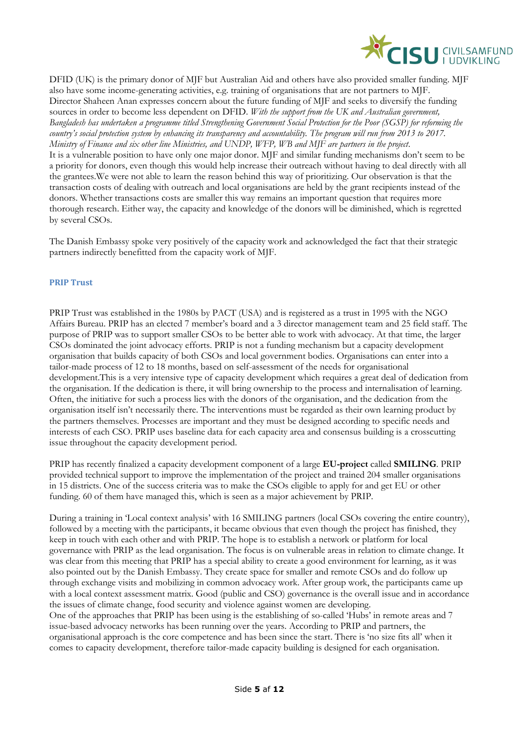

DFID (UK) is the primary donor of MJF but Australian Aid and others have also provided smaller funding. MJF also have some income-generating activities, e.g. training of organisations that are not partners to MJF. Director Shaheen Anan expresses concern about the future funding of MJF and seeks to diversify the funding sources in order to become less dependent on DFID. *With the support from the UK and Australian government*, *Bangladesh has undertaken a programme titled Strengthening Government Social Protection for the Poor (SGSP) for reforming the country's social protection system by enhancing its transparency and accountability. The program will run from 2013 to 2017. Ministry of Finance and six other line Ministries, and UNDP, WFP, WB and MJF are partners in the project*. It is a vulnerable position to have only one major donor. MJF and similar funding mechanisms don't seem to be a priority for donors, even though this would help increase their outreach without having to deal directly with all the grantees.We were not able to learn the reason behind this way of prioritizing. Our observation is that the transaction costs of dealing with outreach and local organisations are held by the grant recipients instead of the donors. Whether transactions costs are smaller this way remains an important question that requires more thorough research. Either way, the capacity and knowledge of the donors will be diminished, which is regretted by several CSOs.

The Danish Embassy spoke very positively of the capacity work and acknowledged the fact that their strategic partners indirectly benefitted from the capacity work of MJF.

#### **PRIP Trust**

PRIP Trust was established in the 1980s by PACT (USA) and is registered as a trust in 1995 with the NGO Affairs Bureau. PRIP has an elected 7 member's board and a 3 director management team and 25 field staff. The purpose of PRIP was to support smaller CSOs to be better able to work with advocacy. At that time, the larger CSOs dominated the joint advocacy efforts. PRIP is not a funding mechanism but a capacity development organisation that builds capacity of both CSOs and local government bodies. Organisations can enter into a tailor-made process of 12 to 18 months, based on self-assessment of the needs for organisational development.This is a very intensive type of capacity development which requires a great deal of dedication from the organisation. If the dedication is there, it will bring ownership to the process and internalisation of learning. Often, the initiative for such a process lies with the donors of the organisation, and the dedication from the organisation itself isn't necessarily there. The interventions must be regarded as their own learning product by the partners themselves. Processes are important and they must be designed according to specific needs and interests of each CSO. PRIP uses baseline data for each capacity area and consensus building is a crosscutting issue throughout the capacity development period.

PRIP has recently finalized a capacity development component of a large **EU-project** called **SMILING**. PRIP provided technical support to improve the implementation of the project and trained 204 smaller organisations in 15 districts. One of the success criteria was to make the CSOs eligible to apply for and get EU or other funding. 60 of them have managed this, which is seen as a major achievement by PRIP.

During a training in 'Local context analysis' with 16 SMILING partners (local CSOs covering the entire country), followed by a meeting with the participants, it became obvious that even though the project has finished, they keep in touch with each other and with PRIP. The hope is to establish a network or platform for local governance with PRIP as the lead organisation. The focus is on vulnerable areas in relation to climate change. It was clear from this meeting that PRIP has a special ability to create a good environment for learning, as it was also pointed out by the Danish Embassy. They create space for smaller and remote CSOs and do follow up through exchange visits and mobilizing in common advocacy work. After group work, the participants came up with a local context assessment matrix. Good (public and CSO) governance is the overall issue and in accordance the issues of climate change, food security and violence against women are developing. One of the approaches that PRIP has been using is the establishing of so-called 'Hubs' in remote areas and 7 issue-based advocacy networks has been running over the years. According to PRIP and partners, the organisational approach is the core competence and has been since the start. There is 'no size fits all' when it comes to capacity development, therefore tailor-made capacity building is designed for each organisation.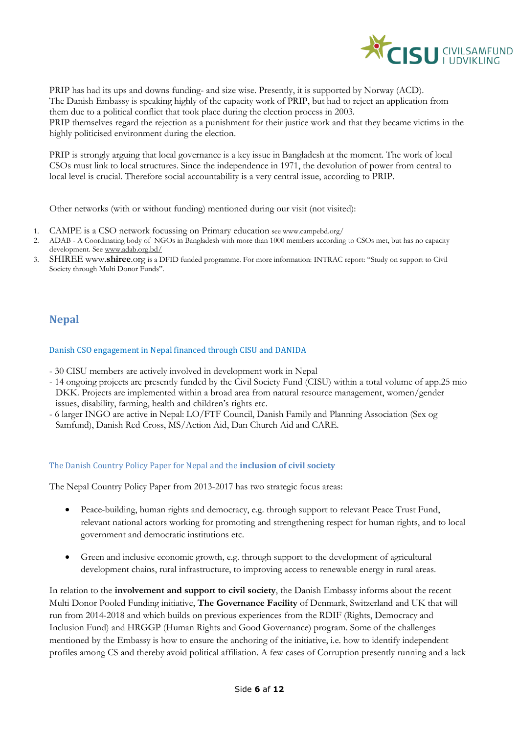

PRIP has had its ups and downs funding- and size wise. Presently, it is supported by Norway (ACD). The Danish Embassy is speaking highly of the capacity work of PRIP, but had to reject an application from them due to a political conflict that took place during the election process in 2003. PRIP themselves regard the rejection as a punishment for their justice work and that they became victims in the highly politicised environment during the election.

PRIP is strongly arguing that local governance is a key issue in Bangladesh at the moment. The work of local CSOs must link to local structures. Since the independence in 1971, the devolution of power from central to local level is crucial. Therefore social accountability is a very central issue, according to PRIP.

Other networks (with or without funding) mentioned during our visit (not visited):

- 1. CAMPE is a CSO network focussing on Primary education see www.campebd.org/
- 2. ADAB A Coordinating body of NGOs in Bangladesh with more than 1000 members according to CSOs met, but has no capacity development. Se[e www.adab.org.bd/](http://www.adab.org.bd/)
- 3. SHIREE www.**[shiree](http://www.shiree.org/)**.org is a DFID funded programme. For more information: INTRAC report: "Study on support to Civil Society through Multi Donor Funds".

# <span id="page-5-0"></span>**Nepal**

### Danish CSO engagement in Nepal financed through CISU and DANIDA

- 30 CISU members are actively involved in development work in Nepal
- 14 ongoing projects are presently funded by the Civil Society Fund (CISU) within a total volume of app.25 mio DKK. Projects are implemented within a broad area from natural resource management, women/gender issues, disability, farming, health and children's rights etc.
- 6 larger INGO are active in Nepal: LO/FTF Council, Danish Family and Planning Association (Sex og Samfund), Danish Red Cross, MS/Action Aid, Dan Church Aid and CARE.

## The Danish Country Policy Paper for Nepal and the **inclusion of civil society**

The Nepal Country Policy Paper from 2013-2017 has two strategic focus areas:

- Peace-building, human rights and democracy, e.g. through support to relevant Peace Trust Fund, relevant national actors working for promoting and strengthening respect for human rights, and to local government and democratic institutions etc.
- Green and inclusive economic growth, e.g. through support to the development of agricultural development chains, rural infrastructure, to improving access to renewable energy in rural areas.

In relation to the **involvement and support to civil society**, the Danish Embassy informs about the recent Multi Donor Pooled Funding initiative, **The Governance Facility** of Denmark, Switzerland and UK that will run from 2014-2018 and which builds on previous experiences from the RDIF (Rights, Democracy and Inclusion Fund) and HRGGP (Human Rights and Good Governance) program. Some of the challenges mentioned by the Embassy is how to ensure the anchoring of the initiative, i.e. how to identify independent profiles among CS and thereby avoid political affiliation. A few cases of Corruption presently running and a lack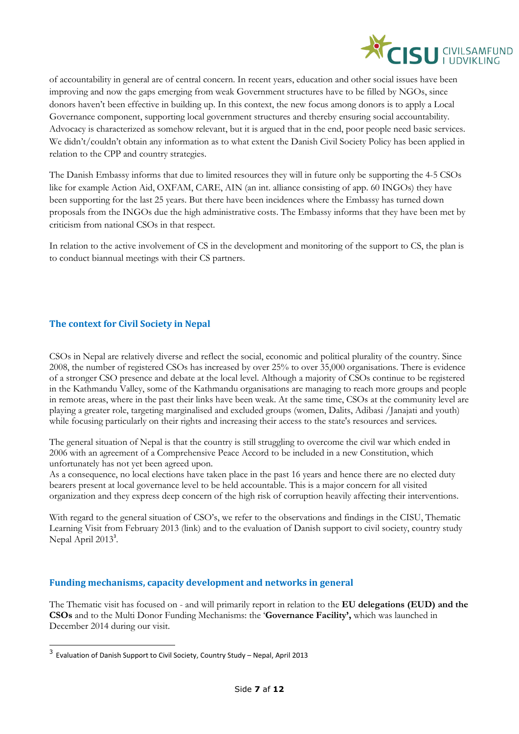

of accountability in general are of central concern. In recent years, education and other social issues have been improving and now the gaps emerging from weak Government structures have to be filled by NGOs, since donors haven't been effective in building up. In this context, the new focus among donors is to apply a Local Governance component, supporting local government structures and thereby ensuring social accountability. Advocacy is characterized as somehow relevant, but it is argued that in the end, poor people need basic services. We didn't/couldn't obtain any information as to what extent the Danish Civil Society Policy has been applied in relation to the CPP and country strategies.

The Danish Embassy informs that due to limited resources they will in future only be supporting the 4-5 CSOs like for example Action Aid, OXFAM, CARE, AIN (an int. alliance consisting of app. 60 INGOs) they have been supporting for the last 25 years. But there have been incidences where the Embassy has turned down proposals from the INGOs due the high administrative costs. The Embassy informs that they have been met by criticism from national CSOs in that respect.

In relation to the active involvement of CS in the development and monitoring of the support to CS, the plan is to conduct biannual meetings with their CS partners.

# **The context for Civil Society in Nepal**

CSOs in Nepal are relatively diverse and reflect the social, economic and political plurality of the country. Since 2008, the number of registered CSOs has increased by over 25% to over 35,000 organisations. There is evidence of a stronger CSO presence and debate at the local level. Although a majority of CSOs continue to be registered in the Kathmandu Valley, some of the Kathmandu organisations are managing to reach more groups and people in remote areas, where in the past their links have been weak. At the same time, CSOs at the community level are playing a greater role, targeting marginalised and excluded groups (women, Dalits, Adibasi /Janajati and youth) while focusing particularly on their rights and increasing their access to the state's resources and services.

The general situation of Nepal is that the country is still struggling to overcome the civil war which ended in 2006 with an agreement of a Comprehensive Peace Accord to be included in a new Constitution, which unfortunately has not yet been agreed upon.

As a consequence, no local elections have taken place in the past 16 years and hence there are no elected duty bearers present at local governance level to be held accountable. This is a major concern for all visited organization and they express deep concern of the high risk of corruption heavily affecting their interventions.

With regard to the general situation of CSO's, we refer to the observations and findings in the CISU, Thematic Learning Visit from February 2013 (link) and to the evaluation of Danish support to civil society, country study Nepal April 2013<sup>3</sup>.

# **Funding mechanisms, capacity development and networks in general**

The Thematic visit has focused on - and will primarily report in relation to the **EU delegations (EUD) and the CSOs** and to the Multi Donor Funding Mechanisms: the '**Governance Facility',** which was launched in December 2014 during our visit.

-

<sup>&</sup>lt;sup>3</sup> Evaluation of Danish Support to Civil Society, Country Study – Nepal, April 2013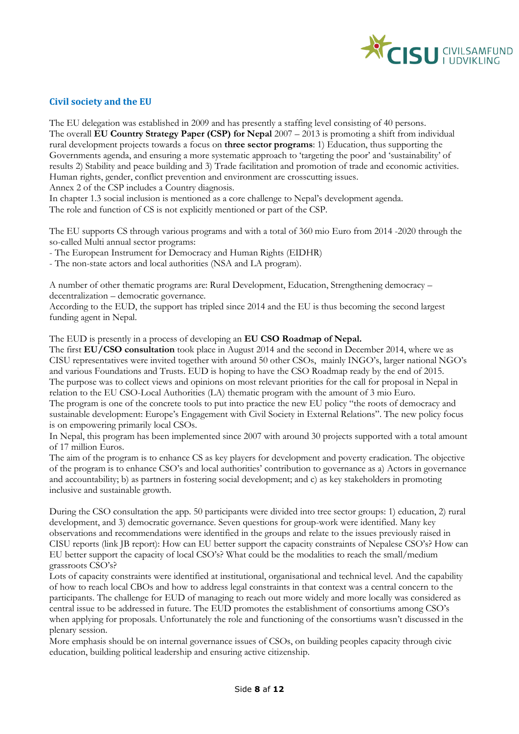

# **Civil society and the EU**

The EU delegation was established in 2009 and has presently a staffing level consisting of 40 persons. The overall **EU Country Strategy Paper (CSP) for Nepal** 2007 – 2013 is promoting a shift from individual rural development projects towards a focus on **three sector programs**: 1) Education, thus supporting the Governments agenda, and ensuring a more systematic approach to 'targeting the poor' and 'sustainability' of results 2) Stability and peace building and 3) Trade facilitation and promotion of trade and economic activities. Human rights, gender, conflict prevention and environment are crosscutting issues.

Annex 2 of the CSP includes a Country diagnosis.

In chapter 1.3 social inclusion is mentioned as a core challenge to Nepal's development agenda. The role and function of CS is not explicitly mentioned or part of the CSP.

The EU supports CS through various programs and with a total of 360 mio Euro from 2014 -2020 through the so-called Multi annual sector programs:

- The European Instrument for Democracy and Human Rights (EIDHR)

- The non-state actors and local authorities (NSA and LA program).

A number of other thematic programs are: Rural Development, Education, Strengthening democracy – decentralization – democratic governance.

According to the EUD, the support has tripled since 2014 and the EU is thus becoming the second largest funding agent in Nepal.

The EUD is presently in a process of developing an **EU CSO Roadmap of Nepal.** 

The first **EU/CSO consultation** took place in August 2014 and the second in December 2014, where we as CISU representatives were invited together with around 50 other CSOs, mainly INGO's, larger national NGO's and various Foundations and Trusts. EUD is hoping to have the CSO Roadmap ready by the end of 2015. The purpose was to collect views and opinions on most relevant priorities for the call for proposal in Nepal in relation to the EU CSO-Local Authorities (LA) thematic program with the amount of 3 mio Euro.

The program is one of the concrete tools to put into practice the new EU policy "the roots of democracy and sustainable development: Europe's Engagement with Civil Society in External Relations". The new policy focus is on empowering primarily local CSOs.

In Nepal, this program has been implemented since 2007 with around 30 projects supported with a total amount of 17 million Euros.

The aim of the program is to enhance CS as key players for development and poverty eradication. The objective of the program is to enhance CSO's and local authorities' contribution to governance as a) Actors in governance and accountability; b) as partners in fostering social development; and c) as key stakeholders in promoting inclusive and sustainable growth.

During the CSO consultation the app. 50 participants were divided into tree sector groups: 1) education, 2) rural development, and 3) democratic governance. Seven questions for group-work were identified. Many key observations and recommendations were identified in the groups and relate to the issues previously raised in CISU reports (link JB report): How can EU better support the capacity constraints of Nepalese CSO's? How can EU better support the capacity of local CSO's? What could be the modalities to reach the small/medium grassroots CSO's?

Lots of capacity constraints were identified at institutional, organisational and technical level. And the capability of how to reach local CBOs and how to address legal constraints in that context was a central concern to the participants. The challenge for EUD of managing to reach out more widely and more locally was considered as central issue to be addressed in future. The EUD promotes the establishment of consortiums among CSO's when applying for proposals. Unfortunately the role and functioning of the consortiums wasn't discussed in the plenary session.

More emphasis should be on internal governance issues of CSOs, on building peoples capacity through civic education, building political leadership and ensuring active citizenship.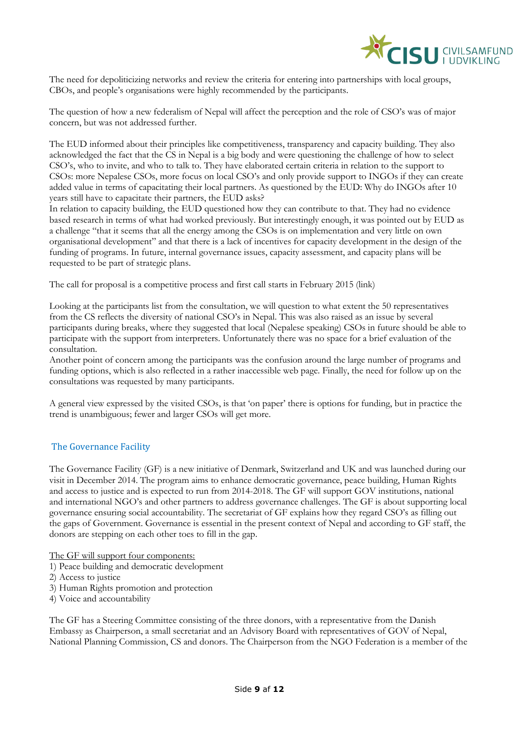

The need for depoliticizing networks and review the criteria for entering into partnerships with local groups, CBOs, and people's organisations were highly recommended by the participants.

The question of how a new federalism of Nepal will affect the perception and the role of CSO's was of major concern, but was not addressed further.

The EUD informed about their principles like competitiveness, transparency and capacity building. They also acknowledged the fact that the CS in Nepal is a big body and were questioning the challenge of how to select CSO's, who to invite, and who to talk to. They have elaborated certain criteria in relation to the support to CSOs: more Nepalese CSOs, more focus on local CSO's and only provide support to INGOs if they can create added value in terms of capacitating their local partners. As questioned by the EUD: Why do INGOs after 10 years still have to capacitate their partners, the EUD asks?

In relation to capacity building, the EUD questioned how they can contribute to that. They had no evidence based research in terms of what had worked previously. But interestingly enough, it was pointed out by EUD as a challenge "that it seems that all the energy among the CSOs is on implementation and very little on own organisational development" and that there is a lack of incentives for capacity development in the design of the funding of programs. In future, internal governance issues, capacity assessment, and capacity plans will be requested to be part of strategic plans.

The call for proposal is a competitive process and first call starts in February 2015 (link)

Looking at the participants list from the consultation, we will question to what extent the 50 representatives from the CS reflects the diversity of national CSO's in Nepal. This was also raised as an issue by several participants during breaks, where they suggested that local (Nepalese speaking) CSOs in future should be able to participate with the support from interpreters. Unfortunately there was no space for a brief evaluation of the consultation.

Another point of concern among the participants was the confusion around the large number of programs and funding options, which is also reflected in a rather inaccessible web page. Finally, the need for follow up on the consultations was requested by many participants.

A general view expressed by the visited CSOs, is that 'on paper' there is options for funding, but in practice the trend is unambiguous; fewer and larger CSOs will get more.

## The Governance Facility

The Governance Facility (GF) is a new initiative of Denmark, Switzerland and UK and was launched during our visit in December 2014. The program aims to enhance democratic governance, peace building, Human Rights and access to justice and is expected to run from 2014-2018. The GF will support GOV institutions, national and international NGO's and other partners to address governance challenges. The GF is about supporting local governance ensuring social accountability. The secretariat of GF explains how they regard CSO's as filling out the gaps of Government. Governance is essential in the present context of Nepal and according to GF staff, the donors are stepping on each other toes to fill in the gap.

The GF will support four components:

- 1) Peace building and democratic development
- 2) Access to justice
- 3) Human Rights promotion and protection
- 4) Voice and accountability

The GF has a Steering Committee consisting of the three donors, with a representative from the Danish Embassy as Chairperson, a small secretariat and an Advisory Board with representatives of GOV of Nepal, National Planning Commission, CS and donors. The Chairperson from the NGO Federation is a member of the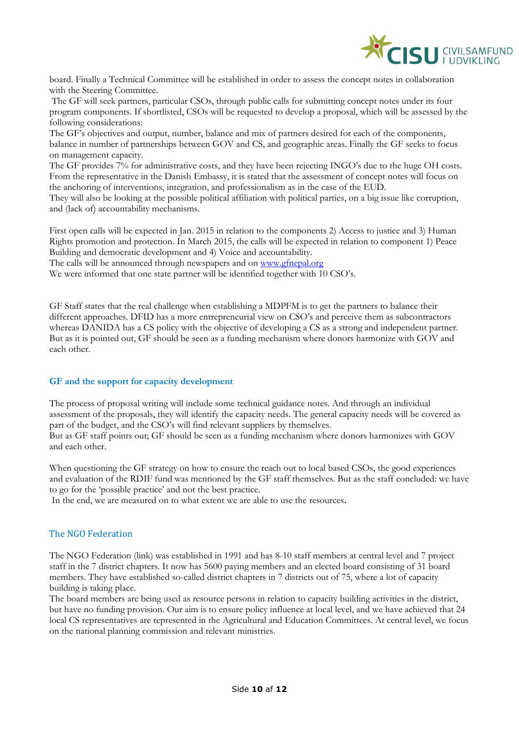

board. Finally a Technical Committee will be established in order to assess the concept notes in collaboration with the Steering Committee.

The GF will seek partners, particular CSOs, through public calls for submitting concept notes under its four program components. If shortlisted, CSOs will be requested to develop a proposal, which will be assessed by the following considerations:

The GF's objectives and output, number, balance and mix of partners desired for each of the components, balance in number of partnerships between GOV and CS, and geographic areas. Finally the GF seeks to focus on management capacity.

The GF provides 7% for administrative costs, and they have been rejecting INGO's due to the huge OH costs. From the representative in the Danish Embassy, it is stated that the assessment of concept notes will focus on the anchoring of interventions, integration, and professionalism as in the case of the EUD.

They will also be looking at the possible political affiliation with political parties, on a big issue like corruption, and (lack of) accountability mechanisms.

First open calls will be expected in Jan. 2015 in relation to the components 2) Access to justice and 3) Human Rights promotion and protection. In March 2015, the calls will be expected in relation to component 1) Peace Building and democratic development and 4) Voice and accountability.

The calls will be announced through newspapers and on [www.gfnepal.org](http://www.gfnepal.org/)

We were informed that one state partner will be identified together with 10 CSO's.

GF Staff states that the real challenge when establishing a MDPFM is to get the partners to balance their different approaches. DFID has a more entrepreneurial view on CSO's and perceive them as subcontractors whereas DANIDA has a CS policy with the objective of developing a CS as a strong and independent partner. But as it is pointed out, GF should be seen as a funding mechanism where donors harmonize with GOV and each other.

## **GF and the support for capacity development**

The process of proposal writing will include some technical guidance notes. And through an individual assessment of the proposals, they will identify the capacity needs. The general capacity needs will be covered as part of the budget, and the CSO's will find relevant suppliers by themselves. But as GF staff points out; GF should be seen as a funding mechanism where donors harmonizes with GOV

and each other.

When questioning the GF strategy on how to ensure the reach out to local based CSOs, the good experiences and evaluation of the RDIF fund was mentioned by the GF staff themselves. But as the staff concluded: we have to go for the 'possible practice' and not the best practice.

In the end, we are measured on to what extent we are able to use the resources**.**

## The NGO Federation

The NGO Federation (link) was established in 1991 and has 8-10 staff members at central level and 7 project staff in the 7 district chapters. It now has 5600 paying members and an elected board consisting of 31 board members. They have established so-called district chapters in 7 districts out of 75, where a lot of capacity building is taking place.

The board members are being used as resource persons in relation to capacity building activities in the district, but have no funding provision. Our aim is to ensure policy influence at local level, and we have achieved that 24 local CS representatives are represented in the Agricultural and Education Committees. At central level, we focus on the national planning commission and relevant ministries.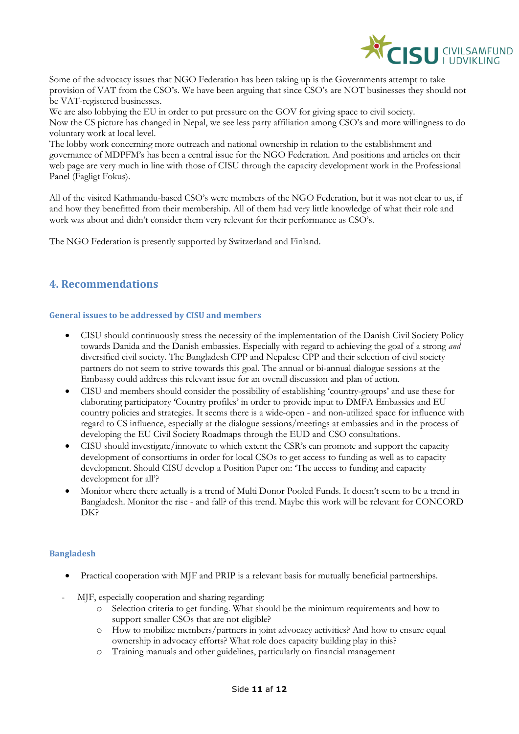

Some of the advocacy issues that NGO Federation has been taking up is the Governments attempt to take provision of VAT from the CSO's. We have been arguing that since CSO's are NOT businesses they should not be VAT-registered businesses.

We are also lobbying the EU in order to put pressure on the GOV for giving space to civil society. Now the CS picture has changed in Nepal, we see less party affiliation among CSO's and more willingness to do voluntary work at local level.

The lobby work concerning more outreach and national ownership in relation to the establishment and governance of MDPFM's has been a central issue for the NGO Federation. And positions and articles on their web page are very much in line with those of CISU through the capacity development work in the Professional Panel (Fagligt Fokus).

All of the visited Kathmandu-based CSO's were members of the NGO Federation, but it was not clear to us, if and how they benefitted from their membership. All of them had very little knowledge of what their role and work was about and didn't consider them very relevant for their performance as CSO's.

The NGO Federation is presently supported by Switzerland and Finland.

# <span id="page-10-0"></span>**4. Recommendations**

### <span id="page-10-1"></span>**General issues to be addressed by CISU and members**

- CISU should continuously stress the necessity of the implementation of the Danish Civil Society Policy towards Danida and the Danish embassies. Especially with regard to achieving the goal of a strong *and*  diversified civil society. The Bangladesh CPP and Nepalese CPP and their selection of civil society partners do not seem to strive towards this goal. The annual or bi-annual dialogue sessions at the Embassy could address this relevant issue for an overall discussion and plan of action.
- CISU and members should consider the possibility of establishing 'country-groups' and use these for elaborating participatory 'Country profiles' in order to provide input to DMFA Embassies and EU country policies and strategies. It seems there is a wide-open - and non-utilized space for influence with regard to CS influence, especially at the dialogue sessions/meetings at embassies and in the process of developing the EU Civil Society Roadmaps through the EUD and CSO consultations.
- CISU should investigate/innovate to which extent the CSR's can promote and support the capacity development of consortiums in order for local CSOs to get access to funding as well as to capacity development. Should CISU develop a Position Paper on: 'The access to funding and capacity development for all'?
- Monitor where there actually is a trend of Multi Donor Pooled Funds. It doesn't seem to be a trend in Bangladesh. Monitor the rise - and fall? of this trend. Maybe this work will be relevant for CONCORD DK?

## <span id="page-10-2"></span>**Bangladesh**

- Practical cooperation with MJF and PRIP is a relevant basis for mutually beneficial partnerships.
- MJF, especially cooperation and sharing regarding:
	- o Selection criteria to get funding. What should be the minimum requirements and how to support smaller CSOs that are not eligible?
	- o How to mobilize members/partners in joint advocacy activities? And how to ensure equal ownership in advocacy efforts? What role does capacity building play in this?
	- o Training manuals and other guidelines, particularly on financial management